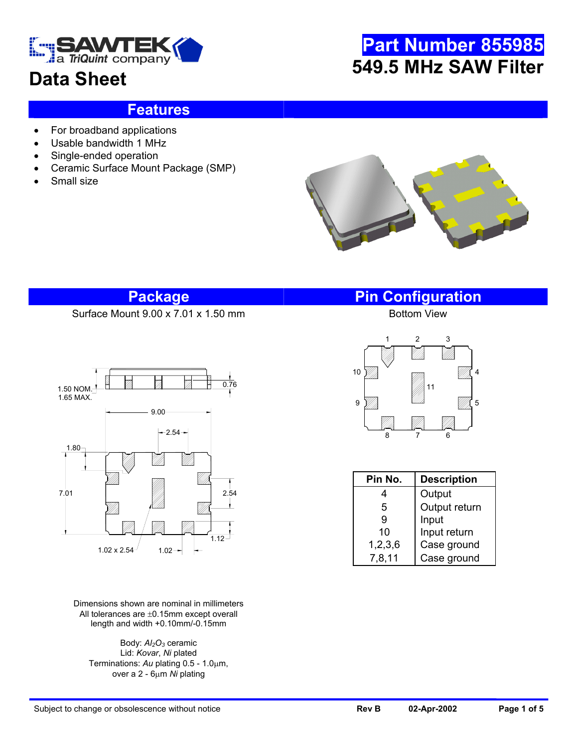

## **Data Sheet**

# **Part Number 855985 549.5 MHz SAW Filter**

#### **Features**

- For broadband applications
- Usable bandwidth 1 MHz
- Single-ended operation
- Ceramic Surface Mount Package (SMP)
- Small size



#### **Package Pin Configuration**

Surface Mount 9.00 x 7.01 x 1.50 mm



Dimensions shown are nominal in millimeters All tolerances are ±0.15mm except overall length and width +0.10mm/-0.15mm

Body: *Al2O3* ceramic Lid: *Kovar*, *Ni* plated Terminations: *Au* plating 0.5 - 1.0µm, over a 2 - 6µm *Ni* plating



| Pin No.    | <b>Description</b> |  |  |
|------------|--------------------|--|--|
|            | Output             |  |  |
| 5          | Output return      |  |  |
| 9          | Input              |  |  |
| 10         | Input return       |  |  |
| 1, 2, 3, 6 | Case ground        |  |  |
| 7,8,11     | Case ground        |  |  |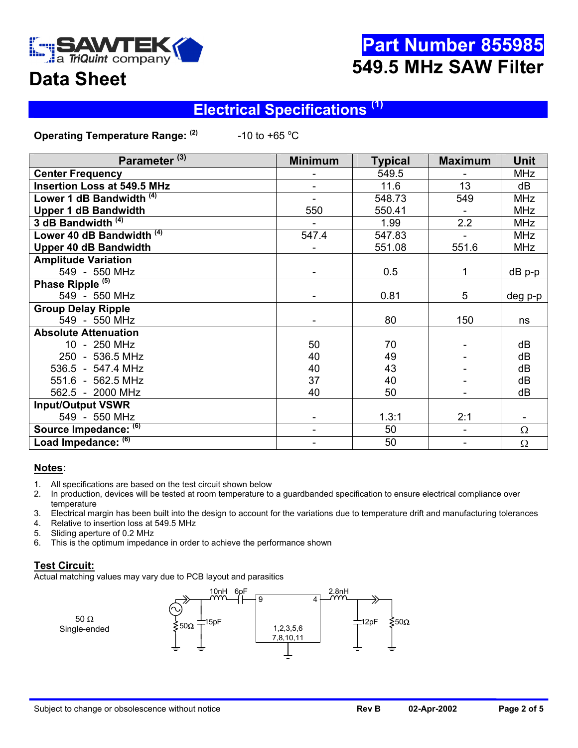

## **Part Number 855985 549.5 MHz SAW Filter**

## **Data Sheet**

#### **Electrical Specifications (1)**

**Operating Temperature Range: (2)** -10 to +65  $^{\circ}$ C

| Parameter <sup>(3)</sup>             | <b>Minimum</b> | <b>Typical</b> | <b>Maximum</b>           | <b>Unit</b> |
|--------------------------------------|----------------|----------------|--------------------------|-------------|
| <b>Center Frequency</b>              |                | 549.5          |                          | <b>MHz</b>  |
| <b>Insertion Loss at 549.5 MHz</b>   |                | 11.6           | 13                       | dB          |
| Lower 1 dB Bandwidth (4)             |                | 548.73         | 549                      | <b>MHz</b>  |
| <b>Upper 1 dB Bandwidth</b>          | 550            | 550.41         |                          | <b>MHz</b>  |
| 3 dB Bandwidth $(4)$                 |                | 1.99           | 2.2                      | <b>MHz</b>  |
| Lower 40 dB Bandwidth <sup>(4)</sup> | 547.4          | 547.83         |                          | <b>MHz</b>  |
| <b>Upper 40 dB Bandwidth</b>         |                | 551.08         | 551.6                    | <b>MHz</b>  |
| <b>Amplitude Variation</b>           |                |                |                          |             |
| 549 - 550 MHz                        |                | 0.5            | $\mathbf{1}$             | $dB$ p-p    |
| Phase Ripple <sup>(5)</sup>          |                |                |                          |             |
| 549 - 550 MHz                        |                | 0.81           | 5                        | deg p-p     |
| <b>Group Delay Ripple</b>            |                |                |                          |             |
| 549 - 550 MHz                        |                | 80             | 150                      | ns          |
| <b>Absolute Attenuation</b>          |                |                |                          |             |
| 10 - 250 MHz                         | 50             | 70             |                          | dB          |
| 250 - 536.5 MHz                      | 40             | 49             |                          | dB          |
| 536.5 - 547.4 MHz                    | 40             | 43             |                          | dB          |
| 551.6 - 562.5 MHz                    | 37             | 40             |                          | dB          |
| 562.5 - 2000 MHz                     | 40             | 50             |                          | dB          |
| <b>Input/Output VSWR</b>             |                |                |                          |             |
| 549 - 550 MHz                        |                | 1.3:1          | 2:1                      |             |
| Source Impedance: (6)                |                | 50             | $\overline{\phantom{a}}$ | $\Omega$    |
| Load Impedance: (6)                  |                | 50             | $\overline{\phantom{a}}$ | $\Omega$    |

#### **Notes:**

- 1. All specifications are based on the test circuit shown below
- 2. In production, devices will be tested at room temperature to a guardbanded specification to ensure electrical compliance over temperature
- 3. Electrical margin has been built into the design to account for the variations due to temperature drift and manufacturing tolerances
- 4. Relative to insertion loss at 549.5 MHz
- 5. Sliding aperture of 0.2 MHz
- 6. This is the optimum impedance in order to achieve the performance shown

#### **Test Circuit:**

Actual matching values may vary due to PCB layout and parasitics

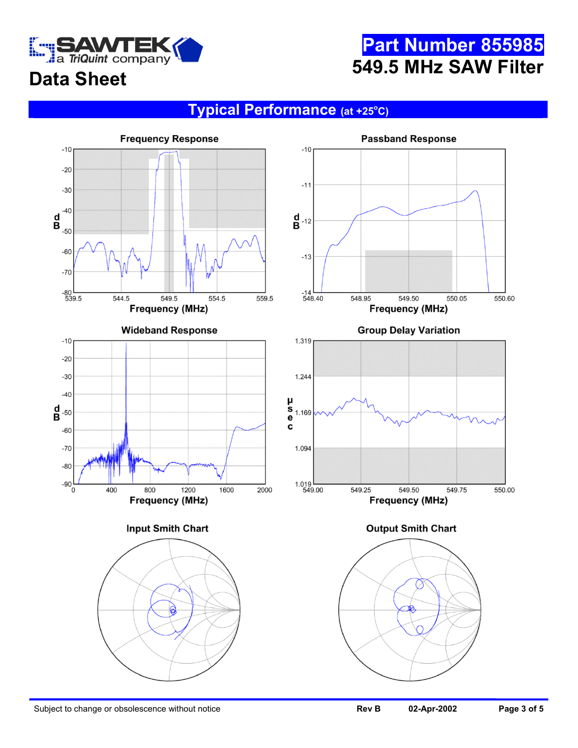

## **Part Number 855985 549.5 MHz SAW Filter**

# **Data Sheet**

#### **Typical Performance** (at +25°C)

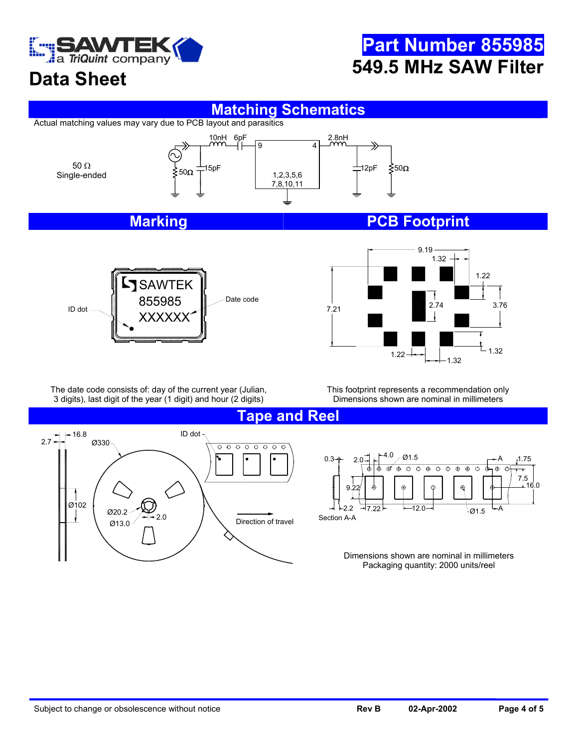

## **Data Sheet**

# **Part Number 855985 549.5 MHz SAW Filter**

#### **Matching Schematics**

Actual matching values may vary due to PCB layout and parasitics



#### **Marking Marking PCB Footprint**





The date code consists of: day of the current year (Julian, 3 digits), last digit of the year (1 digit) and hour (2 digits)

This footprint represents a recommendation only Dimensions shown are nominal in millimeters

**Tape and Reel** 



 $2.0 - 4.0 - 01.5$ 0.3 A 1.75  $\overline{\Theta}$   $\overline{\Theta}$  $\overline{\odot}$  $\overline{\odot}$  $\overline{\Theta}$  $\overline{\oplus}$ 7.5 16.0 9.22  $2.2 \rightarrow 7.22$ 12.0  $\rightarrow$   $_{\emptyset1.5}$   $\rightarrow$  A Section A-A

> Dimensions shown are nominal in millimeters Packaging quantity: 2000 units/reel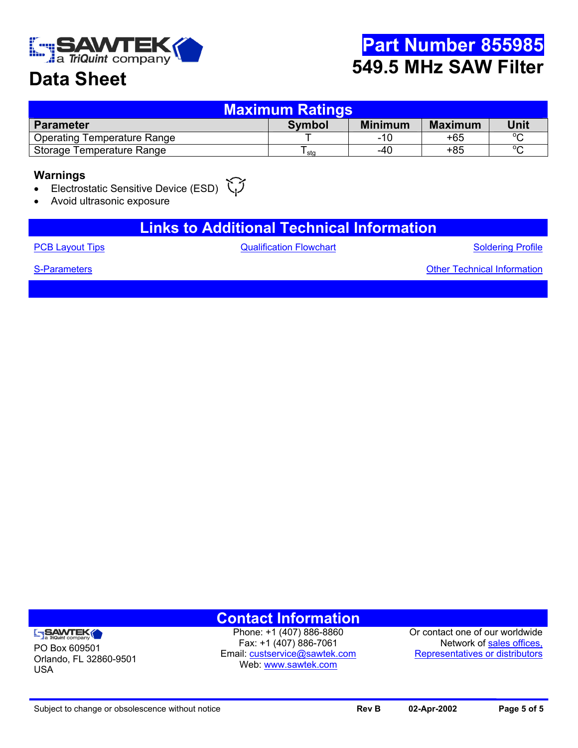

## **Part Number 855985 549.5 MHz SAW Filter**

## **Data Sheet**

| <b>Maximum Ratings</b>             |               |                |                |         |  |  |  |  |
|------------------------------------|---------------|----------------|----------------|---------|--|--|--|--|
| <b>Parameter</b>                   | <b>Symbol</b> | <b>Minimum</b> | <b>Maximum</b> | Unit    |  |  |  |  |
| <b>Operating Temperature Range</b> |               | -10            | +65            | $\circ$ |  |  |  |  |
| Storage Temperature Range          | sta           | -40            | +85            | $\sim$  |  |  |  |  |

#### **Warnings**

#### Electrostatic Sensitive Device (ESD)

• Avoid ultrasonic exposure

#### **Links to Additional Technical Information**

[PCB Layout Tips](http://www.sawtek.com/techsupport.htm) **CHACK CONSTRESS CONSTRESS CONSTRESS CONSTRESS CONSTRESS CONSTRESS CONSTRESS CONSTRESS CONSTRESS [Soldering Profile](http://www.sawtek.com/techsupport.htm)** 

[S-Parameters](mailto:custservice@sawtek.com?subject=S-parameter request) **S-Parameters [Other Technical Information](http://www.sawtek.com/techsupport.htm)** 

#### **ENSAWTEK**

PO Box 609501 Orlando, FL 32860-9501 USA

**Contact Information**  Phone: +1 (407) 886-8860

Fax: +1 (407) 886-7061 Email: [custservice@sawtek.com](mailto:custservice@sawtek.com) Web: [www.sawtek.com](http://www.sawtek.com/)

Or contact one of our worldwide Network of [sales offices,](http://www.sawtek.com/contacts/salemain.htm)  [Representatives or distributors](http://www.sawtek.com/contacts/salemain.htm)